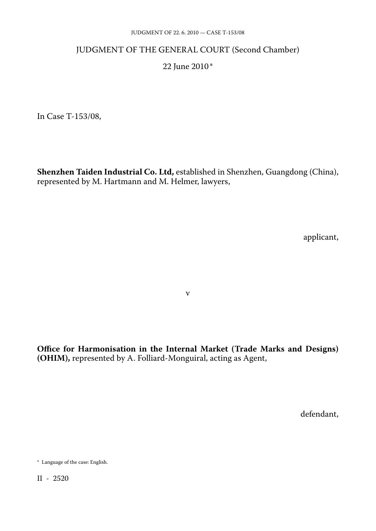#### JUDGMENT OF 22. 6. 2010 — CASE T-153/08

#### JUDGMENT OF THE GENERAL COURT (Second Chamber)

#### 22 June 2010\*

In Case T-153/08,

**Shenzhen Taiden Industrial Co. Ltd,** established in Shenzhen, Guangdong (China), represented by M. Hartmann and M. Helmer, lawyers,

applicant,

v

**Office for Harmonisation in the Internal Market (Trade Marks and Designs) (OHIM),** represented by A. Folliard-Monguiral, acting as Agent,

defendant,

<sup>\*</sup> Language of the case: English.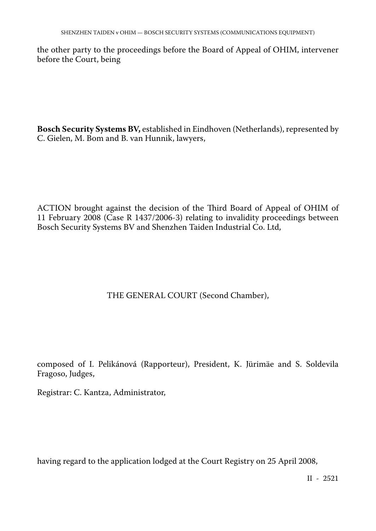the other party to the proceedings before the Board of Appeal of OHIM, intervener before the Court, being

**Bosch Security Systems BV,** established in Eindhoven (Netherlands), represented by C. Gielen, M. Bom and B. van Hunnik, lawyers,

ACTION brought against the decision of the Third Board of Appeal of OHIM of 11 February 2008 (Case R 1437/2006-3) relating to invalidity proceedings between Bosch Security Systems BV and Shenzhen Taiden Industrial Co. Ltd,

# THE GENERAL COURT (Second Chamber),

composed of I. Pelikánová (Rapporteur), President, K. Jürimäe and S. Soldevila Fragoso, Judges,

Registrar: C. Kantza, Administrator,

having regard to the application lodged at the Court Registry on 25 April 2008,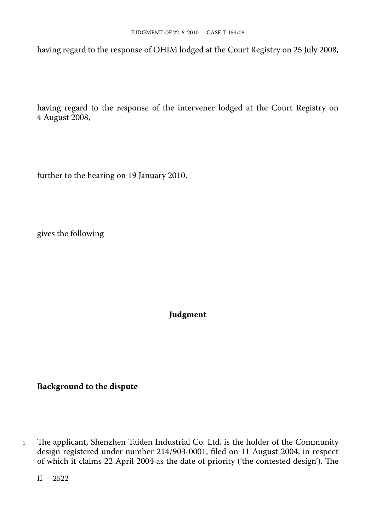having regard to the response of OHIM lodged at the Court Registry on 25 July 2008,

having regard to the response of the intervener lodged at the Court Registry on 4 August 2008,

further to the hearing on 19 January 2010,

gives the following

**Judgment**

**Background to the dispute**

<sup>1</sup> The applicant, Shenzhen Taiden Industrial Co. Ltd, is the holder of the Community design registered under number 214/903-0001, filed on 11 August 2004, in respect of which it claims 22 April 2004 as the date of priority ('the contested design'). The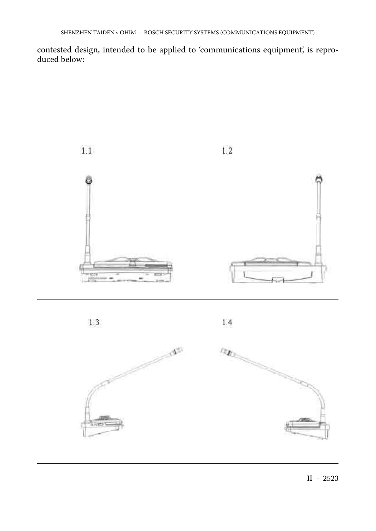contested design, intended to be applied to 'communications equipment', is reproduced below:





 $1.4$ 

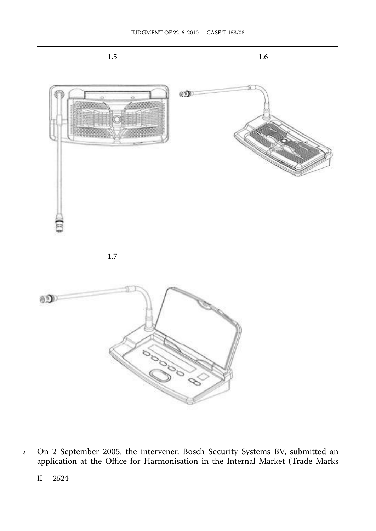

1.7



<sup>2</sup> On 2 September 2005, the intervener, Bosch Security Systems BV, submitted an application at the Office for Harmonisation in the Internal Market (Trade Marks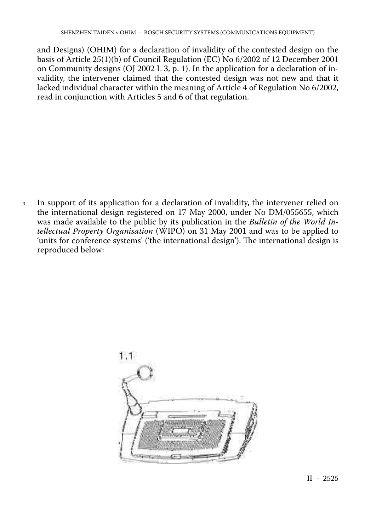and Designs) (OHIM) for a declaration of invalidity of the contested design on the basis of Article 25(1)(b) of Council Regulation (EC) No 6/2002 of 12 December 2001 on Community designs (OJ 2002 L 3, p. 1). In the application for a declaration of invalidity, the intervener claimed that the contested design was not new and that it lacked individual character within the meaning of Article 4 of Regulation No 6/2002, read in conjunction with Articles 5 and 6 of that regulation.

<sup>3</sup> In support of its application for a declaration of invalidity, the intervener relied on the international design registered on 17 May 2000, under No DM/055655, which was made available to the public by its publication in the *Bulletin of the World Intellectual Property Organisation* (WIPO) on 31 May 2001 and was to be applied to 'units for conference systems' ('the international design'). The international design is reproduced below:

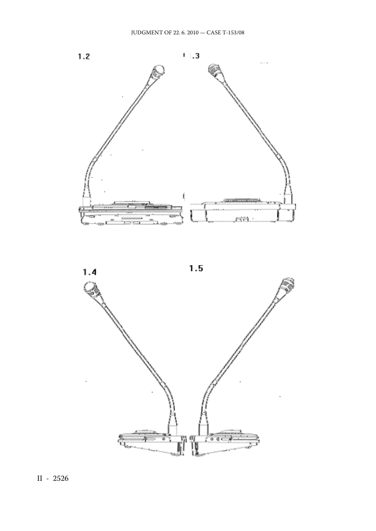

 $1.5$ 

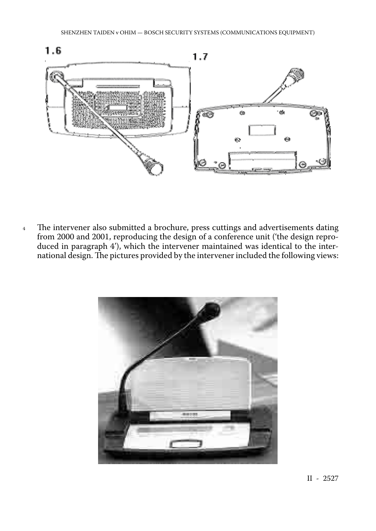

4 The intervener also submitted a brochure, press cuttings and advertisements dating from 2000 and 2001, reproducing the design of a conference unit ('the design reproduced in paragraph 4'), which the intervener maintained was identical to the international design. The pictures provided by the intervener included the following views:

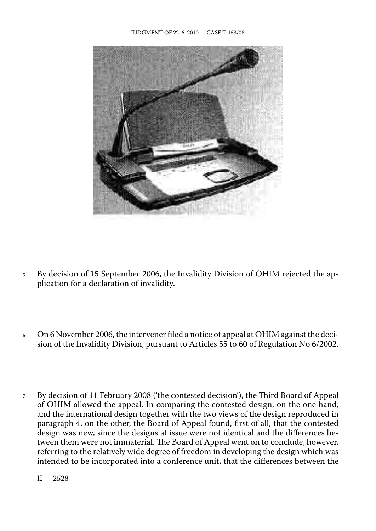

- <sup>5</sup> By decision of 15 September 2006, the Invalidity Division of OHIM rejected the application for a declaration of invalidity.
- <sup>6</sup> On 6 November 2006, the intervener filed a notice of appeal at OHIM against the decision of the Invalidity Division, pursuant to Articles 55 to 60 of Regulation No 6/2002.
- <sup>7</sup> By decision of 11 February 2008 ('the contested decision'), the Third Board of Appeal of OHIM allowed the appeal. In comparing the contested design, on the one hand, and the international design together with the two views of the design reproduced in paragraph 4, on the other, the Board of Appeal found, first of all, that the contested design was new, since the designs at issue were not identical and the differences between them were not immaterial. The Board of Appeal went on to conclude, however, referring to the relatively wide degree of freedom in developing the design which was intended to be incorporated into a conference unit, that the differences between the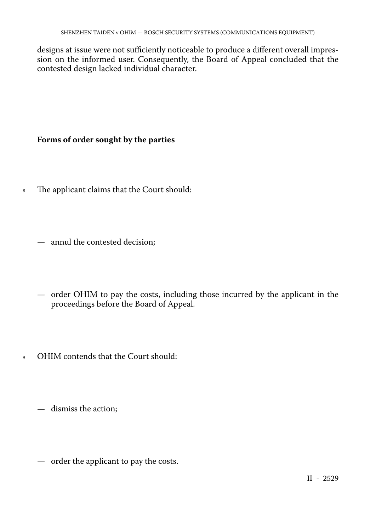designs at issue were not sufficiently noticeable to produce a different overall impression on the informed user. Consequently, the Board of Appeal concluded that the contested design lacked individual character.

## **Forms of order sought by the parties**

- <sup>8</sup> The applicant claims that the Court should:
	- annul the contested decision;
	- order OHIM to pay the costs, including those incurred by the applicant in the proceedings before the Board of Appeal.
- <sup>9</sup> OHIM contends that the Court should:
	- dismiss the action;
	- order the applicant to pay the costs.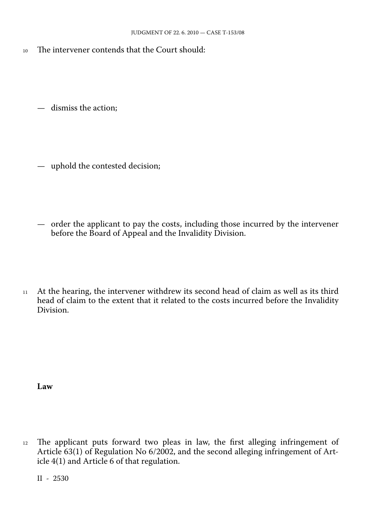<sup>10</sup> The intervener contends that the Court should:

— dismiss the action;

- uphold the contested decision;
- order the applicant to pay the costs, including those incurred by the intervener before the Board of Appeal and the Invalidity Division.
- <sup>11</sup> At the hearing, the intervener withdrew its second head of claim as well as its third head of claim to the extent that it related to the costs incurred before the Invalidity Division.

**Law**

<sup>12</sup> The applicant puts forward two pleas in law, the first alleging infringement of Article 63(1) of Regulation No 6/2002, and the second alleging infringement of Article 4(1) and Article 6 of that regulation.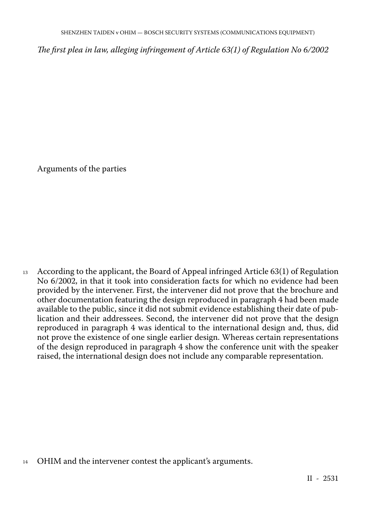*The first plea in law, alleging infringement of Article 63(1) of Regulation No 6/2002*

Arguments of the parties

<sup>13</sup> According to the applicant, the Board of Appeal infringed Article 63(1) of Regulation No 6/2002, in that it took into consideration facts for which no evidence had been provided by the intervener. First, the intervener did not prove that the brochure and other documentation featuring the design reproduced in paragraph 4 had been made available to the public, since it did not submit evidence establishing their date of publication and their addressees. Second, the intervener did not prove that the design reproduced in paragraph 4 was identical to the international design and, thus, did not prove the existence of one single earlier design. Whereas certain representations of the design reproduced in paragraph 4 show the conference unit with the speaker raised, the international design does not include any comparable representation.

<sup>14</sup> OHIM and the intervener contest the applicant's arguments.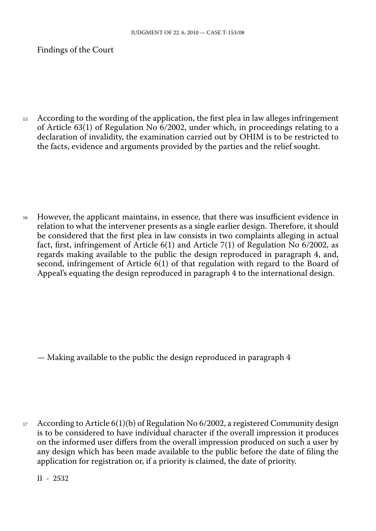Findings of the Court

<sup>15</sup> According to the wording of the application, the first plea in law alleges infringement of Article 63(1) of Regulation No 6/2002, under which, in proceedings relating to a declaration of invalidity, the examination carried out by OHIM is to be restricted to the facts, evidence and arguments provided by the parties and the relief sought.

<sup>16</sup> However, the applicant maintains, in essence, that there was insufficient evidence in relation to what the intervener presents as a single earlier design. Therefore, it should be considered that the first plea in law consists in two complaints alleging in actual fact, first, infringement of Article 6(1) and Article 7(1) of Regulation No 6/2002, as regards making available to the public the design reproduced in paragraph 4, and, second, infringement of Article 6(1) of that regulation with regard to the Board of Appeal's equating the design reproduced in paragraph 4 to the international design.

— Making available to the public the design reproduced in paragraph 4

17 According to Article  $6(1)(b)$  of Regulation No  $6/2002$ , a registered Community design is to be considered to have individual character if the overall impression it produces on the informed user differs from the overall impression produced on such a user by any design which has been made available to the public before the date of filing the application for registration or, if a priority is claimed, the date of priority.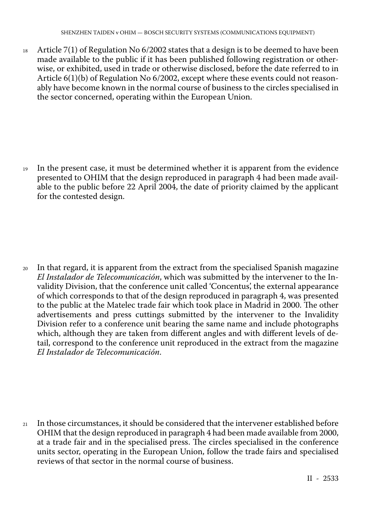<sup>18</sup> Article 7(1) of Regulation No 6/2002 states that a design is to be deemed to have been made available to the public if it has been published following registration or otherwise, or exhibited, used in trade or otherwise disclosed, before the date referred to in Article 6(1)(b) of Regulation No 6/2002, except where these events could not reasonably have become known in the normal course of business to the circles specialised in the sector concerned, operating within the European Union.

<sup>19</sup> In the present case, it must be determined whether it is apparent from the evidence presented to OHIM that the design reproduced in paragraph 4 had been made available to the public before 22 April 2004, the date of priority claimed by the applicant for the contested design.

<sup>20</sup> In that regard, it is apparent from the extract from the specialised Spanish magazine *El Instalador de Telecomunicación*, which was submitted by the intervener to the Invalidity Division, that the conference unit called 'Concentus', the external appearance of which corresponds to that of the design reproduced in paragraph 4, was presented to the public at the Matelec trade fair which took place in Madrid in 2000. The other advertisements and press cuttings submitted by the intervener to the Invalidity Division refer to a conference unit bearing the same name and include photographs which, although they are taken from different angles and with different levels of detail, correspond to the conference unit reproduced in the extract from the magazine *El Instalador de Telecomunicación*.

<sup>21</sup> In those circumstances, it should be considered that the intervener established before OHIM that the design reproduced in paragraph 4 had been made available from 2000, at a trade fair and in the specialised press. The circles specialised in the conference units sector, operating in the European Union, follow the trade fairs and specialised reviews of that sector in the normal course of business.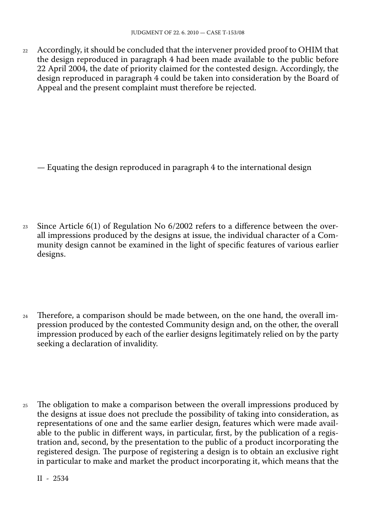22 Accordingly, it should be concluded that the intervener provided proof to OHIM that the design reproduced in paragraph 4 had been made available to the public before 22 April 2004, the date of priority claimed for the contested design. Accordingly, the design reproduced in paragraph 4 could be taken into consideration by the Board of Appeal and the present complaint must therefore be rejected.

— Equating the design reproduced in paragraph 4 to the international design

- 23 Since Article  $6(1)$  of Regulation No  $6/2002$  refers to a difference between the overall impressions produced by the designs at issue, the individual character of a Community design cannot be examined in the light of specific features of various earlier designs.
- <sup>24</sup> Therefore, a comparison should be made between, on the one hand, the overall impression produced by the contested Community design and, on the other, the overall impression produced by each of the earlier designs legitimately relied on by the party seeking a declaration of invalidity.
- <sup>25</sup> The obligation to make a comparison between the overall impressions produced by the designs at issue does not preclude the possibility of taking into consideration, as representations of one and the same earlier design, features which were made available to the public in different ways, in particular, first, by the publication of a registration and, second, by the presentation to the public of a product incorporating the registered design. The purpose of registering a design is to obtain an exclusive right in particular to make and market the product incorporating it, which means that the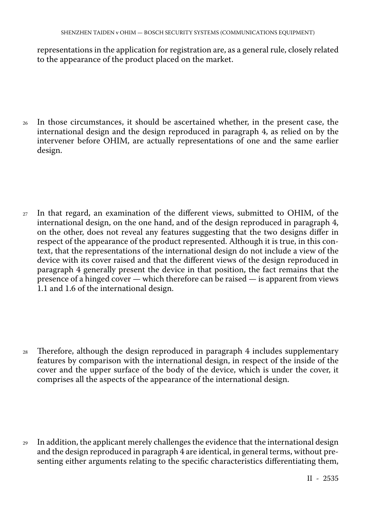representations in the application for registration are, as a general rule, closely related to the appearance of the product placed on the market.

- <sup>26</sup> In those circumstances, it should be ascertained whether, in the present case, the international design and the design reproduced in paragraph 4, as relied on by the intervener before OHIM, are actually representations of one and the same earlier design.
- <sup>27</sup> In that regard, an examination of the different views, submitted to OHIM, of the international design, on the one hand, and of the design reproduced in paragraph 4, on the other, does not reveal any features suggesting that the two designs differ in respect of the appearance of the product represented. Although it is true, in this context, that the representations of the international design do not include a view of the device with its cover raised and that the different views of the design reproduced in paragraph 4 generally present the device in that position, the fact remains that the presence of a hinged cover — which therefore can be raised — is apparent from views 1.1 and 1.6 of the international design.
- <sup>28</sup> Therefore, although the design reproduced in paragraph 4 includes supplementary features by comparison with the international design, in respect of the inside of the cover and the upper surface of the body of the device, which is under the cover, it comprises all the aspects of the appearance of the international design.

<sup>29</sup> In addition, the applicant merely challenges the evidence that the international design and the design reproduced in paragraph 4 are identical, in general terms, without presenting either arguments relating to the specific characteristics differentiating them,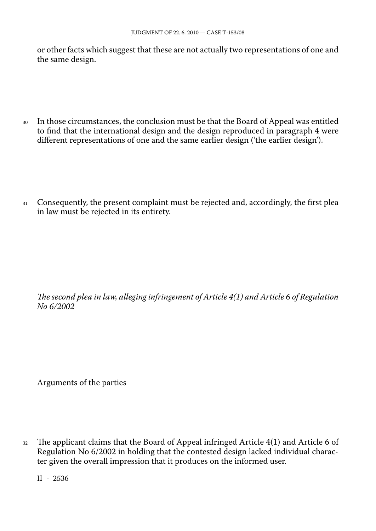or other facts which suggest that these are not actually two representations of one and the same design.

- <sup>30</sup> In those circumstances, the conclusion must be that the Board of Appeal was entitled to find that the international design and the design reproduced in paragraph 4 were different representations of one and the same earlier design ('the earlier design').
- 31 Consequently, the present complaint must be rejected and, accordingly, the first plea in law must be rejected in its entirety.

*The second plea in law, alleging infringement of Article 4(1) and Article 6 of Regulation No 6/2002*

Arguments of the parties

<sup>32</sup> The applicant claims that the Board of Appeal infringed Article 4(1) and Article 6 of Regulation No 6/2002 in holding that the contested design lacked individual character given the overall impression that it produces on the informed user.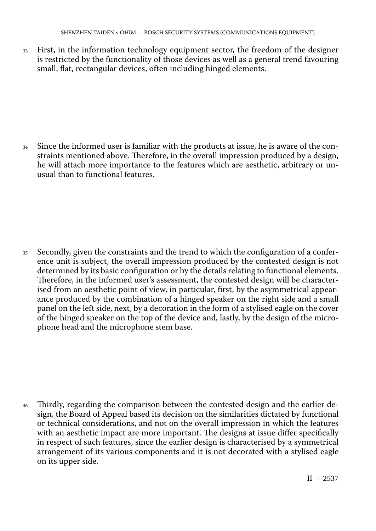<sup>33</sup> First, in the information technology equipment sector, the freedom of the designer is restricted by the functionality of those devices as well as a general trend favouring small, flat, rectangular devices, often including hinged elements.

<sup>34</sup> Since the informed user is familiar with the products at issue, he is aware of the constraints mentioned above. Therefore, in the overall impression produced by a design, he will attach more importance to the features which are aesthetic, arbitrary or unusual than to functional features.

35 Secondly, given the constraints and the trend to which the configuration of a conference unit is subject, the overall impression produced by the contested design is not determined by its basic configuration or by the details relating to functional elements. Therefore, in the informed user's assessment, the contested design will be characterised from an aesthetic point of view, in particular, first, by the asymmetrical appearance produced by the combination of a hinged speaker on the right side and a small panel on the left side, next, by a decoration in the form of a stylised eagle on the cover of the hinged speaker on the top of the device and, lastly, by the design of the microphone head and the microphone stem base.

Thirdly, regarding the comparison between the contested design and the earlier design, the Board of Appeal based its decision on the similarities dictated by functional or technical considerations, and not on the overall impression in which the features with an aesthetic impact are more important. The designs at issue differ specifically in respect of such features, since the earlier design is characterised by a symmetrical arrangement of its various components and it is not decorated with a stylised eagle on its upper side.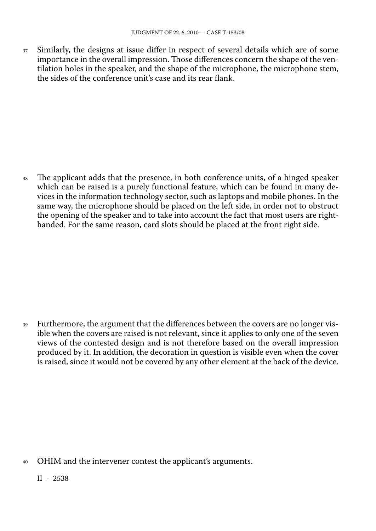<sup>37</sup> Similarly, the designs at issue differ in respect of several details which are of some importance in the overall impression. Those differences concern the shape of the ventilation holes in the speaker, and the shape of the microphone, the microphone stem, the sides of the conference unit's case and its rear flank.

<sup>38</sup> The applicant adds that the presence, in both conference units, of a hinged speaker which can be raised is a purely functional feature, which can be found in many devices in the information technology sector, such as laptops and mobile phones. In the same way, the microphone should be placed on the left side, in order not to obstruct the opening of the speaker and to take into account the fact that most users are righthanded. For the same reason, card slots should be placed at the front right side.

<sup>39</sup> Furthermore, the argument that the differences between the covers are no longer visible when the covers are raised is not relevant, since it applies to only one of the seven views of the contested design and is not therefore based on the overall impression produced by it. In addition, the decoration in question is visible even when the cover is raised, since it would not be covered by any other element at the back of the device.

<sup>40</sup> OHIM and the intervener contest the applicant's arguments.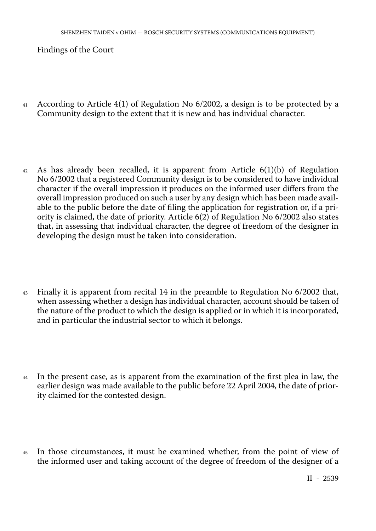Findings of the Court

- <sup>41</sup> According to Article 4(1) of Regulation No 6/2002, a design is to be protected by a Community design to the extent that it is new and has individual character.
- $42$  As has already been recalled, it is apparent from Article  $6(1)(b)$  of Regulation No 6/2002 that a registered Community design is to be considered to have individual character if the overall impression it produces on the informed user differs from the overall impression produced on such a user by any design which has been made available to the public before the date of filing the application for registration or, if a priority is claimed, the date of priority. Article 6(2) of Regulation No 6/2002 also states that, in assessing that individual character, the degree of freedom of the designer in developing the design must be taken into consideration.
- <sup>43</sup> Finally it is apparent from recital 14 in the preamble to Regulation No 6/2002 that, when assessing whether a design has individual character, account should be taken of the nature of the product to which the design is applied or in which it is incorporated, and in particular the industrial sector to which it belongs.
- <sup>44</sup> In the present case, as is apparent from the examination of the first plea in law, the earlier design was made available to the public before 22 April 2004, the date of priority claimed for the contested design.
- <sup>45</sup> In those circumstances, it must be examined whether, from the point of view of the informed user and taking account of the degree of freedom of the designer of a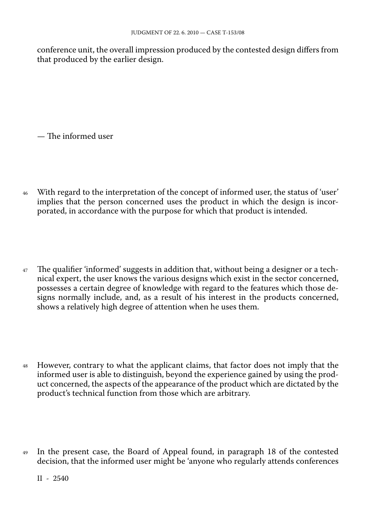conference unit, the overall impression produced by the contested design differs from that produced by the earlier design.

— The informed user

- <sup>46</sup> With regard to the interpretation of the concept of informed user, the status of 'user' implies that the person concerned uses the product in which the design is incorporated, in accordance with the purpose for which that product is intended.
- <sup>47</sup> The qualifier 'informed' suggests in addition that, without being a designer or a technical expert, the user knows the various designs which exist in the sector concerned, possesses a certain degree of knowledge with regard to the features which those designs normally include, and, as a result of his interest in the products concerned, shows a relatively high degree of attention when he uses them.
- <sup>48</sup> However, contrary to what the applicant claims, that factor does not imply that the informed user is able to distinguish, beyond the experience gained by using the product concerned, the aspects of the appearance of the product which are dictated by the product's technical function from those which are arbitrary.
- <sup>49</sup> In the present case, the Board of Appeal found, in paragraph 18 of the contested decision, that the informed user might be 'anyone who regularly attends conferences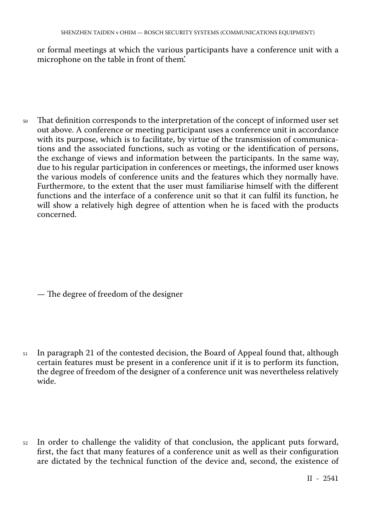or formal meetings at which the various participants have a conference unit with a microphone on the table in front of them'.

<sup>50</sup> That definition corresponds to the interpretation of the concept of informed user set out above. A conference or meeting participant uses a conference unit in accordance with its purpose, which is to facilitate, by virtue of the transmission of communications and the associated functions, such as voting or the identification of persons, the exchange of views and information between the participants. In the same way, due to his regular participation in conferences or meetings, the informed user knows the various models of conference units and the features which they normally have. Furthermore, to the extent that the user must familiarise himself with the different functions and the interface of a conference unit so that it can fulfil its function, he will show a relatively high degree of attention when he is faced with the products concerned.

— The degree of freedom of the designer

- <sup>51</sup> In paragraph 21 of the contested decision, the Board of Appeal found that, although certain features must be present in a conference unit if it is to perform its function, the degree of freedom of the designer of a conference unit was nevertheless relatively wide.
- <sup>52</sup> In order to challenge the validity of that conclusion, the applicant puts forward, first, the fact that many features of a conference unit as well as their configuration are dictated by the technical function of the device and, second, the existence of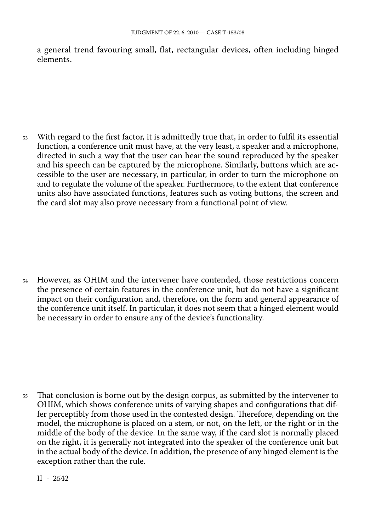a general trend favouring small, flat, rectangular devices, often including hinged elements.

<sup>53</sup> With regard to the first factor, it is admittedly true that, in order to fulfil its essential function, a conference unit must have, at the very least, a speaker and a microphone, directed in such a way that the user can hear the sound reproduced by the speaker and his speech can be captured by the microphone. Similarly, buttons which are accessible to the user are necessary, in particular, in order to turn the microphone on and to regulate the volume of the speaker. Furthermore, to the extent that conference units also have associated functions, features such as voting buttons, the screen and the card slot may also prove necessary from a functional point of view.

<sup>54</sup> However, as OHIM and the intervener have contended, those restrictions concern the presence of certain features in the conference unit, but do not have a significant impact on their configuration and, therefore, on the form and general appearance of the conference unit itself. In particular, it does not seem that a hinged element would be necessary in order to ensure any of the device's functionality.

<sup>55</sup> That conclusion is borne out by the design corpus, as submitted by the intervener to OHIM, which shows conference units of varying shapes and configurations that differ perceptibly from those used in the contested design. Therefore, depending on the model, the microphone is placed on a stem, or not, on the left, or the right or in the middle of the body of the device. In the same way, if the card slot is normally placed on the right, it is generally not integrated into the speaker of the conference unit but in the actual body of the device. In addition, the presence of any hinged element is the exception rather than the rule.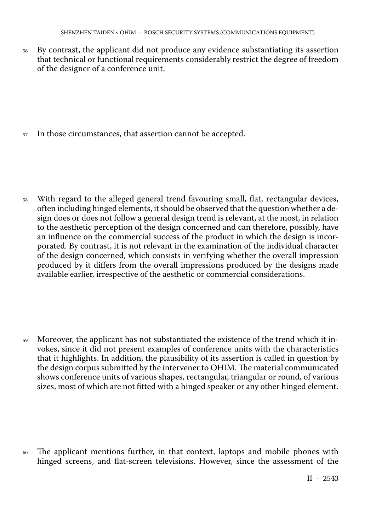<sup>56</sup> By contrast, the applicant did not produce any evidence substantiating its assertion that technical or functional requirements considerably restrict the degree of freedom of the designer of a conference unit.

<sup>57</sup> In those circumstances, that assertion cannot be accepted.

<sup>58</sup> With regard to the alleged general trend favouring small, flat, rectangular devices, often including hinged elements, it should be observed that the question whether a design does or does not follow a general design trend is relevant, at the most, in relation to the aesthetic perception of the design concerned and can therefore, possibly, have an influence on the commercial success of the product in which the design is incorporated. By contrast, it is not relevant in the examination of the individual character of the design concerned, which consists in verifying whether the overall impression produced by it differs from the overall impressions produced by the designs made available earlier, irrespective of the aesthetic or commercial considerations.

<sup>59</sup> Moreover, the applicant has not substantiated the existence of the trend which it invokes, since it did not present examples of conference units with the characteristics that it highlights. In addition, the plausibility of its assertion is called in question by the design corpus submitted by the intervener to OHIM. The material communicated shows conference units of various shapes, rectangular, triangular or round, of various sizes, most of which are not fitted with a hinged speaker or any other hinged element.

<sup>60</sup> The applicant mentions further, in that context, laptops and mobile phones with hinged screens, and flat-screen televisions. However, since the assessment of the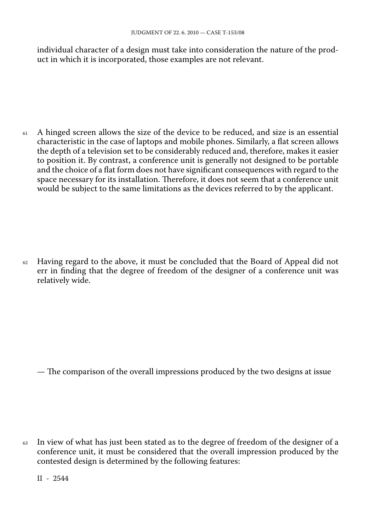individual character of a design must take into consideration the nature of the product in which it is incorporated, those examples are not relevant.

<sup>61</sup> A hinged screen allows the size of the device to be reduced, and size is an essential characteristic in the case of laptops and mobile phones. Similarly, a flat screen allows the depth of a television set to be considerably reduced and, therefore, makes it easier to position it. By contrast, a conference unit is generally not designed to be portable and the choice of a flat form does not have significant consequences with regard to the space necessary for its installation. Therefore, it does not seem that a conference unit would be subject to the same limitations as the devices referred to by the applicant.

 $62$  Having regard to the above, it must be concluded that the Board of Appeal did not err in finding that the degree of freedom of the designer of a conference unit was relatively wide.

— The comparison of the overall impressions produced by the two designs at issue

<sup>63</sup> In view of what has just been stated as to the degree of freedom of the designer of a conference unit, it must be considered that the overall impression produced by the contested design is determined by the following features: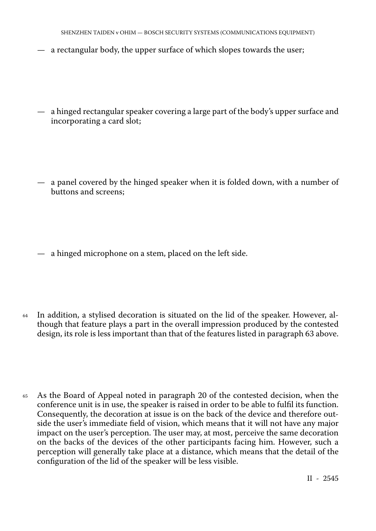- a rectangular body, the upper surface of which slopes towards the user;
- a hinged rectangular speaker covering a large part of the body's upper surface and incorporating a card slot;
- a panel covered by the hinged speaker when it is folded down, with a number of buttons and screens;
- a hinged microphone on a stem, placed on the left side.
- <sup>64</sup> In addition, a stylised decoration is situated on the lid of the speaker. However, although that feature plays a part in the overall impression produced by the contested design, its role is less important than that of the features listed in paragraph 63 above.
- <sup>65</sup> As the Board of Appeal noted in paragraph 20 of the contested decision, when the conference unit is in use, the speaker is raised in order to be able to fulfil its function. Consequently, the decoration at issue is on the back of the device and therefore outside the user's immediate field of vision, which means that it will not have any major impact on the user's perception. The user may, at most, perceive the same decoration on the backs of the devices of the other participants facing him. However, such a perception will generally take place at a distance, which means that the detail of the configuration of the lid of the speaker will be less visible.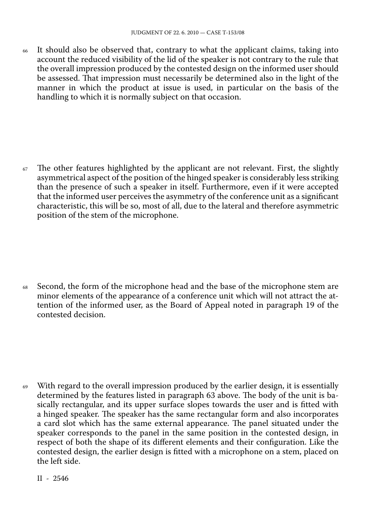<sup>66</sup> It should also be observed that, contrary to what the applicant claims, taking into account the reduced visibility of the lid of the speaker is not contrary to the rule that the overall impression produced by the contested design on the informed user should be assessed. That impression must necessarily be determined also in the light of the manner in which the product at issue is used, in particular on the basis of the handling to which it is normally subject on that occasion.

 $67$  The other features highlighted by the applicant are not relevant. First, the slightly asymmetrical aspect of the position of the hinged speaker is considerably less striking than the presence of such a speaker in itself. Furthermore, even if it were accepted that the informed user perceives the asymmetry of the conference unit as a significant characteristic, this will be so, most of all, due to the lateral and therefore asymmetric position of the stem of the microphone.

<sup>68</sup> Second, the form of the microphone head and the base of the microphone stem are minor elements of the appearance of a conference unit which will not attract the attention of the informed user, as the Board of Appeal noted in paragraph 19 of the contested decision.

 $69$  With regard to the overall impression produced by the earlier design, it is essentially determined by the features listed in paragraph 63 above. The body of the unit is basically rectangular, and its upper surface slopes towards the user and is fitted with a hinged speaker. The speaker has the same rectangular form and also incorporates a card slot which has the same external appearance. The panel situated under the speaker corresponds to the panel in the same position in the contested design, in respect of both the shape of its different elements and their configuration. Like the contested design, the earlier design is fitted with a microphone on a stem, placed on the left side.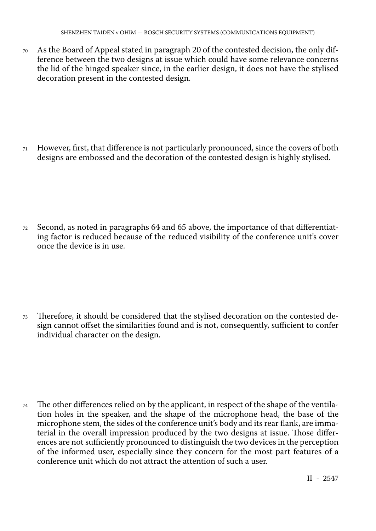<sup>70</sup> As the Board of Appeal stated in paragraph 20 of the contested decision, the only difference between the two designs at issue which could have some relevance concerns the lid of the hinged speaker since, in the earlier design, it does not have the stylised decoration present in the contested design.

<sup>71</sup> However, first, that difference is not particularly pronounced, since the covers of both designs are embossed and the decoration of the contested design is highly stylised.

<sup>72</sup> Second, as noted in paragraphs 64 and 65 above, the importance of that differentiating factor is reduced because of the reduced visibility of the conference unit's cover once the device is in use.

<sup>73</sup> Therefore, it should be considered that the stylised decoration on the contested design cannot offset the similarities found and is not, consequently, sufficient to confer individual character on the design.

<sup>74</sup> The other differences relied on by the applicant, in respect of the shape of the ventilation holes in the speaker, and the shape of the microphone head, the base of the microphone stem, the sides of the conference unit's body and its rear flank, are immaterial in the overall impression produced by the two designs at issue. Those differences are not sufficiently pronounced to distinguish the two devices in the perception of the informed user, especially since they concern for the most part features of a conference unit which do not attract the attention of such a user.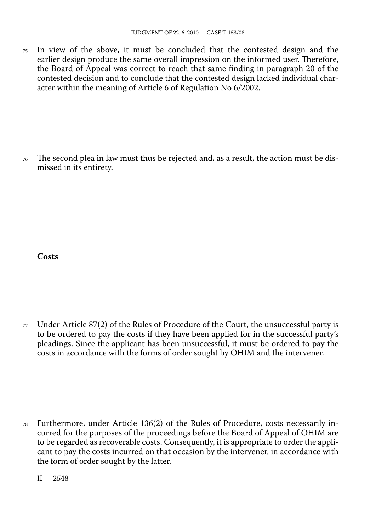<sup>75</sup> In view of the above, it must be concluded that the contested design and the earlier design produce the same overall impression on the informed user. Therefore, the Board of Appeal was correct to reach that same finding in paragraph 20 of the contested decision and to conclude that the contested design lacked individual character within the meaning of Article 6 of Regulation No 6/2002.

<sup>76</sup> The second plea in law must thus be rejected and, as a result, the action must be dismissed in its entirety.

**Costs**

 $77$  Under Article 87(2) of the Rules of Procedure of the Court, the unsuccessful party is to be ordered to pay the costs if they have been applied for in the successful party's pleadings. Since the applicant has been unsuccessful, it must be ordered to pay the costs in accordance with the forms of order sought by OHIM and the intervener.

<sup>78</sup> Furthermore, under Article 136(2) of the Rules of Procedure, costs necessarily incurred for the purposes of the proceedings before the Board of Appeal of OHIM are to be regarded as recoverable costs. Consequently, it is appropriate to order the applicant to pay the costs incurred on that occasion by the intervener, in accordance with the form of order sought by the latter.